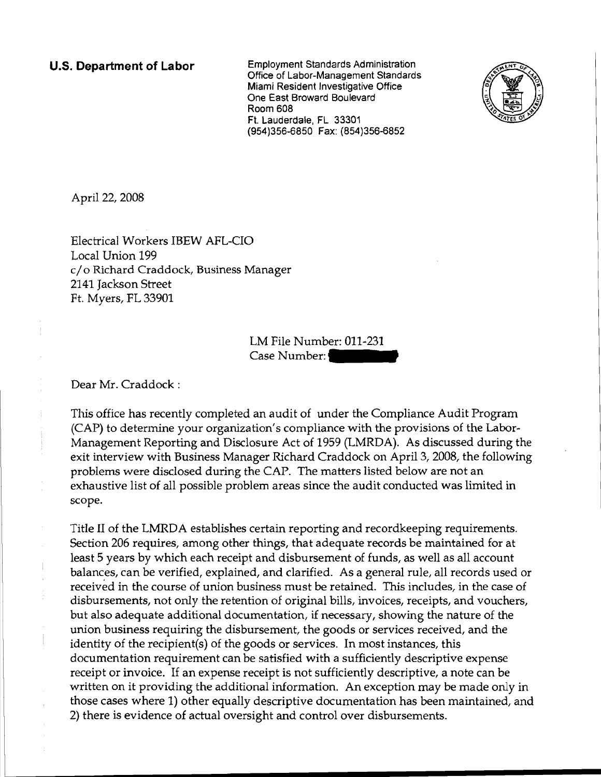**u.s. Department of Labor** Employment Standards Administration Office of Labor-Management Standards Miami Resident Investigative Office One East Broward Boulevard Room 608 Ft. Lauderdale, FL 33301 (954)356-6850 Fax: (854)356-6852



April 22, 2008

Electrical Workers IBEW AFL-CIO Local Union 199 c/o Richard Craddock, Business Manager 2141 Jackson Street Ft. Myers, FL 33901

> LM File Number: 011-231 Case Number:

Dear Mr. Craddock:

This office has recently completed an audit of under the Compliance Audit Program (CAP) to determine your organization's compliance with the provisions of the Labor-Management Reporting and Disclosure Act of 1959 (LMRDA). As discussed during the exit interview with Business Manager Richard Craddock on April 3, 2008, the following problems were disclosed during the CAP. The matters listed below are not an exhaustive list of all possible problem areas since the audit conducted was limited in scope.

Title II of the LMRDA establishes certain reporting and recordkeeping requirements. Section 206 requires, among other things, that adequate records be maintained for at least 5 years by which each receipt and disbursement of funds, as well as all account balances, can be verified, explained, and clarified. As a general rule, all records used or received in the course of union business must be retained. This includes, in the case of disbursements, not only the retention of original bills, invoices, receipts, and vouchers, but also adequate additional documentation, if necessary, showing the nature of the union business requiring the disbursement, the goods or services received, and the identity of the recipient(s) of the goods or services. In most instances, this documentation requirement can be satisfied with a sufficiently descriptive expense receipt or invoice. If an expense receipt is not sufficiently descriptive, a note can be written on it providing the additional information. An exception may be made only in those cases where 1) other equally descriptive documentation has been maintained, and 2) there is evidence of actual oversight and control over disbursements.